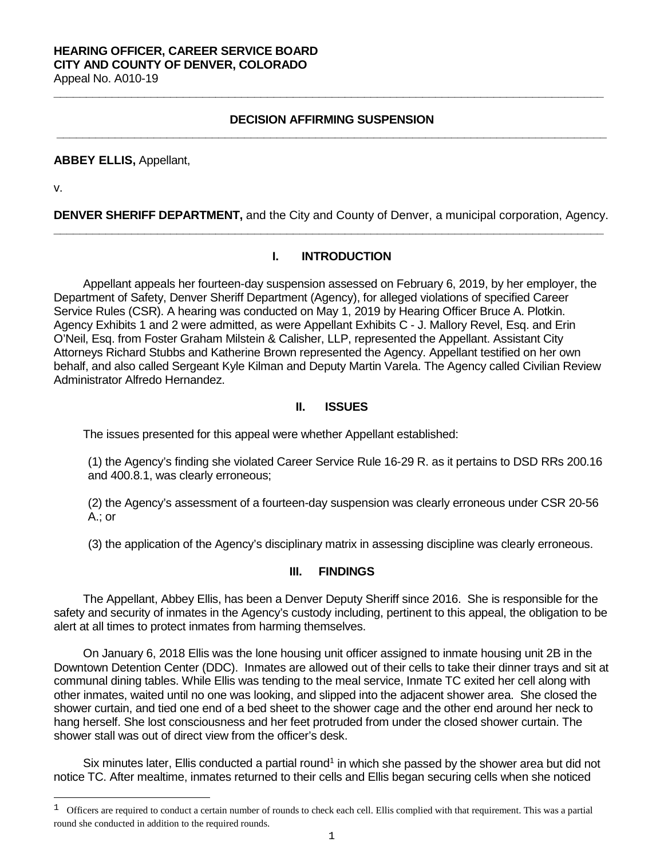#### **HEARING OFFICER, CAREER SERVICE BOARD CITY AND COUNTY OF DENVER, COLORADO** Appeal No. A010-19

**DECISION AFFIRMING SUSPENSION \_\_\_\_\_\_\_\_\_\_\_\_\_\_\_\_\_\_\_\_\_\_\_\_\_\_\_\_\_\_\_\_\_\_\_\_\_\_\_\_\_\_\_\_\_\_\_\_\_\_\_\_\_\_\_\_\_\_\_\_\_\_\_\_\_\_\_\_\_\_\_\_\_\_\_\_\_\_\_\_\_\_\_\_\_**

**\_\_\_\_\_\_\_\_\_\_\_\_\_\_\_\_\_\_\_\_\_\_\_\_\_\_\_\_\_\_\_\_\_\_\_\_\_\_\_\_\_\_\_\_\_\_\_\_\_\_\_\_\_\_\_\_\_\_\_\_\_\_\_\_\_\_\_\_\_\_\_\_\_\_\_\_\_\_\_\_\_\_\_\_\_**

#### **ABBEY ELLIS,** Appellant,

v.

i

**DENVER SHERIFF DEPARTMENT,** and the City and County of Denver, a municipal corporation, Agency. **\_\_\_\_\_\_\_\_\_\_\_\_\_\_\_\_\_\_\_\_\_\_\_\_\_\_\_\_\_\_\_\_\_\_\_\_\_\_\_\_\_\_\_\_\_\_\_\_\_\_\_\_\_\_\_\_\_\_\_\_\_\_\_\_\_\_\_\_\_\_\_\_\_\_\_\_\_\_\_\_\_\_\_\_\_**

## **I. INTRODUCTION**

Appellant appeals her fourteen-day suspension assessed on February 6, 2019, by her employer, the Department of Safety, Denver Sheriff Department (Agency), for alleged violations of specified Career Service Rules (CSR). A hearing was conducted on May 1, 2019 by Hearing Officer Bruce A. Plotkin. Agency Exhibits 1 and 2 were admitted, as were Appellant Exhibits C - J. Mallory Revel, Esq. and Erin O'Neil, Esq. from Foster Graham Milstein & Calisher, LLP, represented the Appellant. Assistant City Attorneys Richard Stubbs and Katherine Brown represented the Agency. Appellant testified on her own behalf, and also called Sergeant Kyle Kilman and Deputy Martin Varela. The Agency called Civilian Review Administrator Alfredo Hernandez.

#### **II. ISSUES**

The issues presented for this appeal were whether Appellant established:

(1) the Agency's finding she violated Career Service Rule 16-29 R. as it pertains to DSD RRs 200.16 and 400.8.1, was clearly erroneous;

(2) the Agency's assessment of a fourteen-day suspension was clearly erroneous under CSR 20-56 A.; or

(3) the application of the Agency's disciplinary matrix in assessing discipline was clearly erroneous.

#### **III. FINDINGS**

The Appellant, Abbey Ellis, has been a Denver Deputy Sheriff since 2016. She is responsible for the safety and security of inmates in the Agency's custody including, pertinent to this appeal, the obligation to be alert at all times to protect inmates from harming themselves.

On January 6, 2018 Ellis was the lone housing unit officer assigned to inmate housing unit 2B in the Downtown Detention Center (DDC). Inmates are allowed out of their cells to take their dinner trays and sit at communal dining tables. While Ellis was tending to the meal service, Inmate TC exited her cell along with other inmates, waited until no one was looking, and slipped into the adjacent shower area. She closed the shower curtain, and tied one end of a bed sheet to the shower cage and the other end around her neck to hang herself. She lost consciousness and her feet protruded from under the closed shower curtain. The shower stall was out of direct view from the officer's desk.

Six minutes later, Ellis conducted a partial round<sup>1</sup> in which she passed by the shower area but did not notice TC. After mealtime, inmates returned to their cells and Ellis began securing cells when she noticed

<span id="page-0-0"></span> $1$  Officers are required to conduct a certain number of rounds to check each cell. Ellis complied with that requirement. This was a partial round she conducted in addition to the required rounds.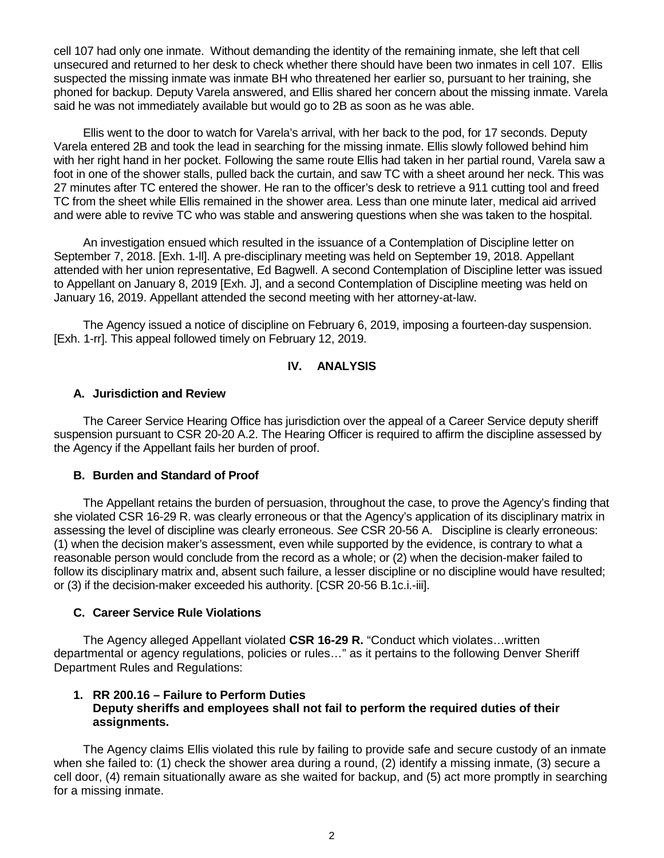cell 107 had only one inmate. Without demanding the identity of the remaining inmate, she left that cell unsecured and returned to her desk to check whether there should have been two inmates in cell 107. Ellis suspected the missing inmate was inmate BH who threatened her earlier so, pursuant to her training, she phoned for backup. Deputy Varela answered, and Ellis shared her concern about the missing inmate. Varela said he was not immediately available but would go to 2B as soon as he was able.

Ellis went to the door to watch for Varela's arrival, with her back to the pod, for 17 seconds. Deputy Varela entered 2B and took the lead in searching for the missing inmate. Ellis slowly followed behind him with her right hand in her pocket. Following the same route Ellis had taken in her partial round, Varela saw a foot in one of the shower stalls, pulled back the curtain, and saw TC with a sheet around her neck. This was 27 minutes after TC entered the shower. He ran to the officer's desk to retrieve a 911 cutting tool and freed TC from the sheet while Ellis remained in the shower area. Less than one minute later, medical aid arrived and were able to revive TC who was stable and answering questions when she was taken to the hospital.

An investigation ensued which resulted in the issuance of a Contemplation of Discipline letter on September 7, 2018. [Exh. 1-ll]. A pre-disciplinary meeting was held on September 19, 2018. Appellant attended with her union representative, Ed Bagwell. A second Contemplation of Discipline letter was issued to Appellant on January 8, 2019 [Exh. J], and a second Contemplation of Discipline meeting was held on January 16, 2019. Appellant attended the second meeting with her attorney-at-law.

The Agency issued a notice of discipline on February 6, 2019, imposing a fourteen-day suspension. [Exh. 1-rr]. This appeal followed timely on February 12, 2019.

# **IV. ANALYSIS**

## **A. Jurisdiction and Review**

The Career Service Hearing Office has jurisdiction over the appeal of a Career Service deputy sheriff suspension pursuant to CSR 20-20 A.2. The Hearing Officer is required to affirm the discipline assessed by the Agency if the Appellant fails her burden of proof.

### **B. Burden and Standard of Proof**

The Appellant retains the burden of persuasion, throughout the case, to prove the Agency's finding that she violated CSR 16-29 R. was clearly erroneous or that the Agency's application of its disciplinary matrix in assessing the level of discipline was clearly erroneous. *See* CSR 20-56 A. Discipline is clearly erroneous: (1) when the decision maker's assessment, even while supported by the evidence, is contrary to what a reasonable person would conclude from the record as a whole; or (2) when the decision-maker failed to follow its disciplinary matrix and, absent such failure, a lesser discipline or no discipline would have resulted; or (3) if the decision-maker exceeded his authority. [CSR 20-56 B.1c.i.-iii].

### **C. Career Service Rule Violations**

The Agency alleged Appellant violated **CSR 16-29 R.** "Conduct which violates…written departmental or agency regulations, policies or rules…" as it pertains to the following Denver Sheriff Department Rules and Regulations:

## **1. RR 200.16 – Failure to Perform Duties Deputy sheriffs and employees shall not fail to perform the required duties of their assignments.**

The Agency claims Ellis violated this rule by failing to provide safe and secure custody of an inmate when she failed to: (1) check the shower area during a round, (2) identify a missing inmate, (3) secure a cell door, (4) remain situationally aware as she waited for backup, and (5) act more promptly in searching for a missing inmate.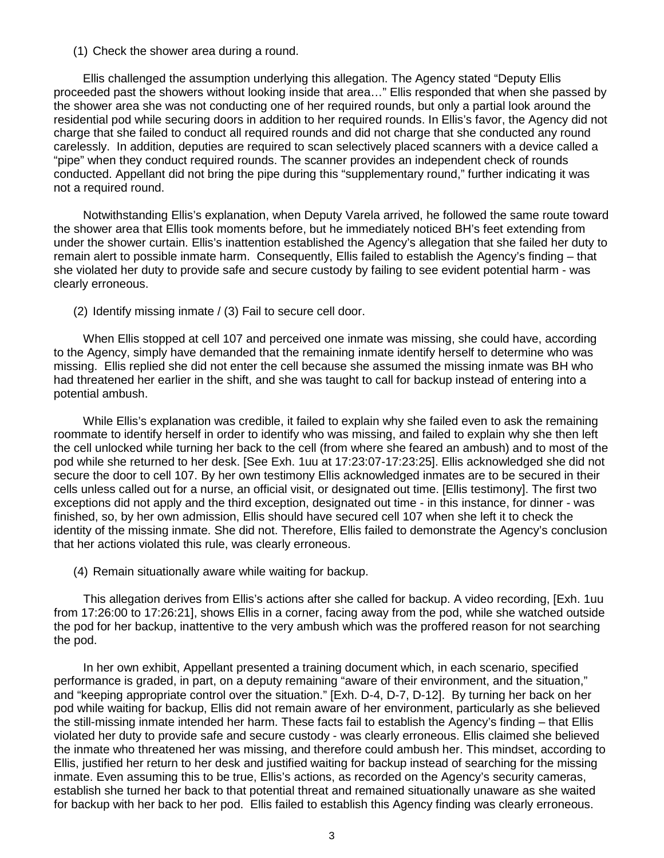(1) Check the shower area during a round.

Ellis challenged the assumption underlying this allegation. The Agency stated "Deputy Ellis proceeded past the showers without looking inside that area…" Ellis responded that when she passed by the shower area she was not conducting one of her required rounds, but only a partial look around the residential pod while securing doors in addition to her required rounds. In Ellis's favor, the Agency did not charge that she failed to conduct all required rounds and did not charge that she conducted any round carelessly. In addition, deputies are required to scan selectively placed scanners with a device called a "pipe" when they conduct required rounds. The scanner provides an independent check of rounds conducted. Appellant did not bring the pipe during this "supplementary round," further indicating it was not a required round.

Notwithstanding Ellis's explanation, when Deputy Varela arrived, he followed the same route toward the shower area that Ellis took moments before, but he immediately noticed BH's feet extending from under the shower curtain. Ellis's inattention established the Agency's allegation that she failed her duty to remain alert to possible inmate harm. Consequently, Ellis failed to establish the Agency's finding – that she violated her duty to provide safe and secure custody by failing to see evident potential harm - was clearly erroneous.

(2) Identify missing inmate / (3) Fail to secure cell door.

When Ellis stopped at cell 107 and perceived one inmate was missing, she could have, according to the Agency, simply have demanded that the remaining inmate identify herself to determine who was missing. Ellis replied she did not enter the cell because she assumed the missing inmate was BH who had threatened her earlier in the shift, and she was taught to call for backup instead of entering into a potential ambush.

While Ellis's explanation was credible, it failed to explain why she failed even to ask the remaining roommate to identify herself in order to identify who was missing, and failed to explain why she then left the cell unlocked while turning her back to the cell (from where she feared an ambush) and to most of the pod while she returned to her desk. [See Exh. 1uu at 17:23:07-17:23:25]. Ellis acknowledged she did not secure the door to cell 107. By her own testimony Ellis acknowledged inmates are to be secured in their cells unless called out for a nurse, an official visit, or designated out time. [Ellis testimony]. The first two exceptions did not apply and the third exception, designated out time - in this instance, for dinner - was finished, so, by her own admission, Ellis should have secured cell 107 when she left it to check the identity of the missing inmate. She did not. Therefore, Ellis failed to demonstrate the Agency's conclusion that her actions violated this rule, was clearly erroneous.

(4) Remain situationally aware while waiting for backup.

This allegation derives from Ellis's actions after she called for backup. A video recording, [Exh. 1uu from 17:26:00 to 17:26:21], shows Ellis in a corner, facing away from the pod, while she watched outside the pod for her backup, inattentive to the very ambush which was the proffered reason for not searching the pod.

In her own exhibit, Appellant presented a training document which, in each scenario, specified performance is graded, in part, on a deputy remaining "aware of their environment, and the situation," and "keeping appropriate control over the situation." [Exh. D-4, D-7, D-12]. By turning her back on her pod while waiting for backup, Ellis did not remain aware of her environment, particularly as she believed the still-missing inmate intended her harm. These facts fail to establish the Agency's finding – that Ellis violated her duty to provide safe and secure custody - was clearly erroneous. Ellis claimed she believed the inmate who threatened her was missing, and therefore could ambush her. This mindset, according to Ellis, justified her return to her desk and justified waiting for backup instead of searching for the missing inmate. Even assuming this to be true, Ellis's actions, as recorded on the Agency's security cameras, establish she turned her back to that potential threat and remained situationally unaware as she waited for backup with her back to her pod. Ellis failed to establish this Agency finding was clearly erroneous.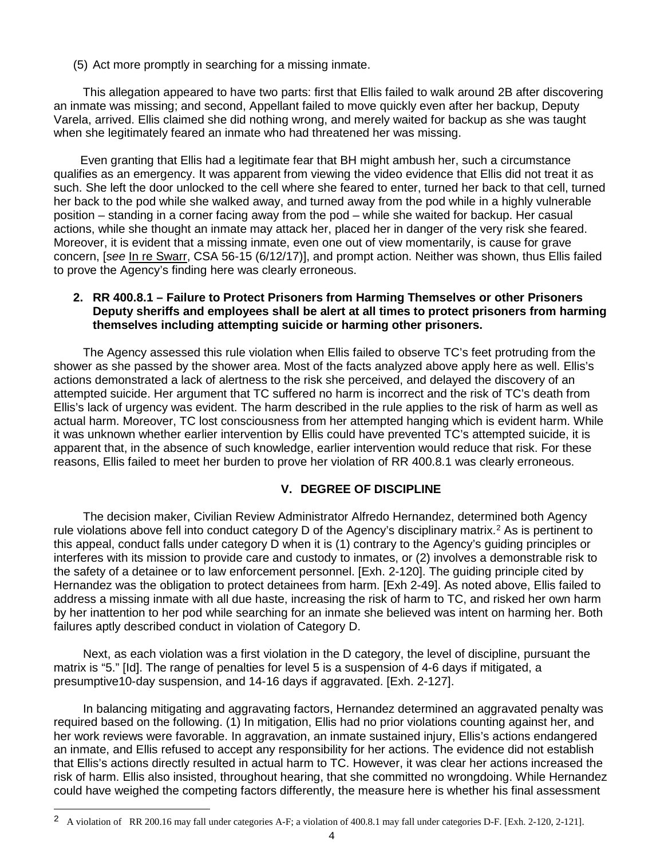(5) Act more promptly in searching for a missing inmate.

This allegation appeared to have two parts: first that Ellis failed to walk around 2B after discovering an inmate was missing; and second, Appellant failed to move quickly even after her backup, Deputy Varela, arrived. Ellis claimed she did nothing wrong, and merely waited for backup as she was taught when she legitimately feared an inmate who had threatened her was missing.

 Even granting that Ellis had a legitimate fear that BH might ambush her, such a circumstance qualifies as an emergency. It was apparent from viewing the video evidence that Ellis did not treat it as such. She left the door unlocked to the cell where she feared to enter, turned her back to that cell, turned her back to the pod while she walked away, and turned away from the pod while in a highly vulnerable position – standing in a corner facing away from the pod – while she waited for backup. Her casual actions, while she thought an inmate may attack her, placed her in danger of the very risk she feared. Moreover, it is evident that a missing inmate, even one out of view momentarily, is cause for grave concern, [*see* In re Swarr, CSA 56-15 (6/12/17)], and prompt action. Neither was shown, thus Ellis failed to prove the Agency's finding here was clearly erroneous.

## **2. RR 400.8.1 – Failure to Protect Prisoners from Harming Themselves or other Prisoners Deputy sheriffs and employees shall be alert at all times to protect prisoners from harming themselves including attempting suicide or harming other prisoners.**

The Agency assessed this rule violation when Ellis failed to observe TC's feet protruding from the shower as she passed by the shower area. Most of the facts analyzed above apply here as well. Ellis's actions demonstrated a lack of alertness to the risk she perceived, and delayed the discovery of an attempted suicide. Her argument that TC suffered no harm is incorrect and the risk of TC's death from Ellis's lack of urgency was evident. The harm described in the rule applies to the risk of harm as well as actual harm. Moreover, TC lost consciousness from her attempted hanging which is evident harm. While it was unknown whether earlier intervention by Ellis could have prevented TC's attempted suicide, it is apparent that, in the absence of such knowledge, earlier intervention would reduce that risk. For these reasons, Ellis failed to meet her burden to prove her violation of RR 400.8.1 was clearly erroneous.

## **V. DEGREE OF DISCIPLINE**

The decision maker, Civilian Review Administrator Alfredo Hernandez, determined both Agency rule violations above fell into conduct category D of the Agency's disciplinary matrix.<sup>[2](#page-3-0)</sup> As is pertinent to this appeal, conduct falls under category D when it is (1) contrary to the Agency's guiding principles or interferes with its mission to provide care and custody to inmates, or (2) involves a demonstrable risk to the safety of a detainee or to law enforcement personnel. [Exh. 2-120]. The guiding principle cited by Hernandez was the obligation to protect detainees from harm. [Exh 2-49]. As noted above, Ellis failed to address a missing inmate with all due haste, increasing the risk of harm to TC, and risked her own harm by her inattention to her pod while searching for an inmate she believed was intent on harming her. Both failures aptly described conduct in violation of Category D.

Next, as each violation was a first violation in the D category, the level of discipline, pursuant the matrix is "5." [Id]. The range of penalties for level 5 is a suspension of 4-6 days if mitigated, a presumptive10-day suspension, and 14-16 days if aggravated. [Exh. 2-127].

In balancing mitigating and aggravating factors, Hernandez determined an aggravated penalty was required based on the following. (1) In mitigation, Ellis had no prior violations counting against her, and her work reviews were favorable. In aggravation, an inmate sustained injury, Ellis's actions endangered an inmate, and Ellis refused to accept any responsibility for her actions. The evidence did not establish that Ellis's actions directly resulted in actual harm to TC. However, it was clear her actions increased the risk of harm. Ellis also insisted, throughout hearing, that she committed no wrongdoing. While Hernandez could have weighed the competing factors differently, the measure here is whether his final assessment

i

<span id="page-3-0"></span><sup>&</sup>lt;sup>2</sup> A violation of RR 200.16 may fall under categories A-F; a violation of 400.8.1 may fall under categories D-F. [Exh. 2-120, 2-121].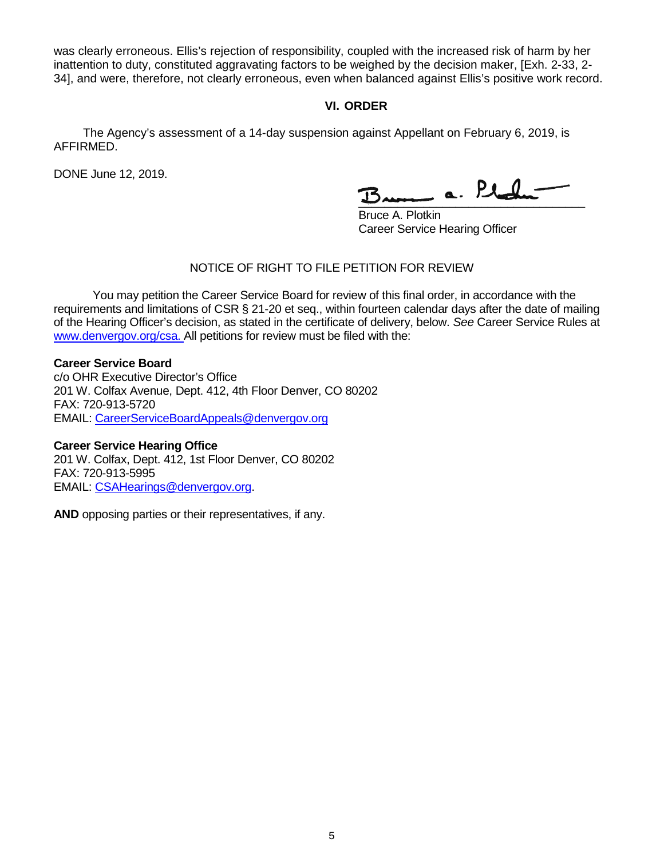was clearly erroneous. Ellis's rejection of responsibility, coupled with the increased risk of harm by her inattention to duty, constituted aggravating factors to be weighed by the decision maker, [Exh. 2-33, 2- 34], and were, therefore, not clearly erroneous, even when balanced against Ellis's positive work record.

# **VI. ORDER**

The Agency's assessment of a 14-day suspension against Appellant on February 6, 2019, is AFFIRMED.

DONE June 12, 2019.

 $\frac{1}{2}$ 

 Bruce A. Plotkin Career Service Hearing Officer

# NOTICE OF RIGHT TO FILE PETITION FOR REVIEW

You may petition the Career Service Board for review of this final order, in accordance with the requirements and limitations of CSR § 21-20 et seq., within fourteen calendar days after the date of mailing of the Hearing Officer's decision, as stated in the certificate of delivery, below. *See* Career Service Rules at [www.denvergov.org/csa. A](http://www.denvergov.org/csa)ll petitions for review must be filed with the:

## **Career Service Board**

c/o OHR Executive Director's Office 201 W. Colfax Avenue, Dept. 412, 4th Floor Denver, CO 80202 FAX: 720-913-5720 EMAIL: [CareerServiceBoardAppeals@denvergov.org](mailto:CareerServiceBoardAppeals@denvergov.org)

### **Career Service Hearing Office**

201 W. Colfax, Dept. 412, 1st Floor Denver, CO 80202 FAX: 720-913-5995 EMAIL: [CSAHearings@denvergov.org.](mailto:CSAHearings@denvergov.org)

**AND** opposing parties or their representatives, if any.